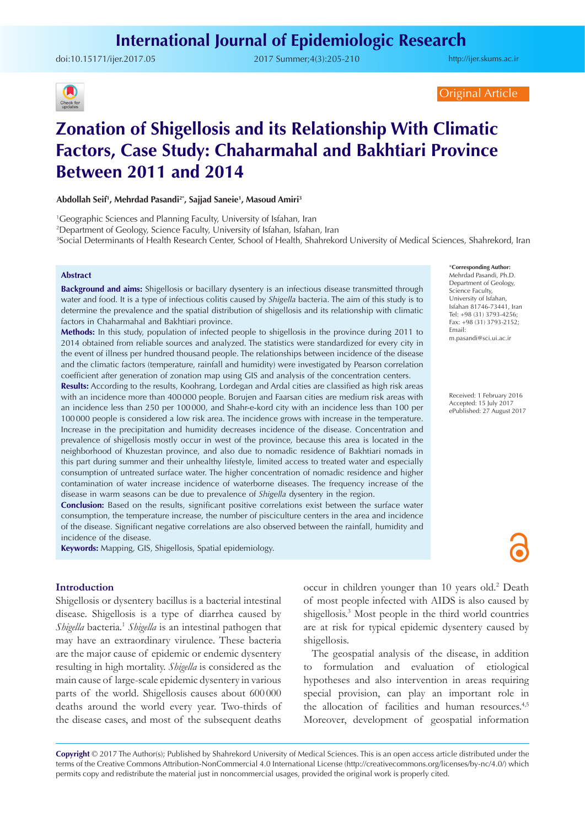doi:[10.15171/ijer.2017.05](http://dx.doi.org/10.15171/ijer.2017.05 ) 2017 Summer;4(3):205-210

<http://ijer.skums.ac.ir>



Original Article

# **Zonation of Shigellosis and its Relationship With Climatic Factors, Case Study: Chaharmahal and Bakhtiari Province Between 2011 and 2014**

**Abdollah Seif1 , Mehrdad Pasandi2\*, Sajjad Saneie1 , Masoud Amiri3**

1 Geographic Sciences and Planning Faculty, University of Isfahan, Iran

2 Department of Geology, Science Faculty, University of Isfahan, Isfahan, Iran

3 Social Determinants of Health Research Center, School of Health, Shahrekord University of Medical Sciences, Shahrekord, Iran

## **Abstract**

**Background and aims:** Shigellosis or bacillary dysentery is an infectious disease transmitted through water and food. It is a type of infectious colitis caused by *Shigella* bacteria. The aim of this study is to determine the prevalence and the spatial distribution of shigellosis and its relationship with climatic factors in Chaharmahal and Bakhtiari province.

**Methods:** In this study, population of infected people to shigellosis in the province during 2011 to 2014 obtained from reliable sources and analyzed. The statistics were standardized for every city in the event of illness per hundred thousand people. The relationships between incidence of the disease and the climatic factors (temperature, rainfall and humidity) were investigated by Pearson correlation coefficient after generation of zonation map using GIS and analysis of the concentration centers.

**Results:** According to the results, Koohrang, Lordegan and Ardal cities are classified as high risk areas with an incidence more than 400000 people. Borujen and Faarsan cities are medium risk areas with an incidence less than 250 per 100000, and Shahr-e-kord city with an incidence less than 100 per 100000 people is considered a low risk area. The incidence grows with increase in the temperature. Increase in the precipitation and humidity decreases incidence of the disease. Concentration and prevalence of shigellosis mostly occur in west of the province, because this area is located in the neighborhood of Khuzestan province, and also due to nomadic residence of Bakhtiari nomads in this part during summer and their unhealthy lifestyle, limited access to treated water and especially consumption of untreated surface water. The higher concentration of nomadic residence and higher contamination of water increase incidence of waterborne diseases. The frequency increase of the disease in warm seasons can be due to prevalence of *Shigella* dysentery in the region.

**Conclusion:** Based on the results, significant positive correlations exist between the surface water consumption, the temperature increase, the number of pisciculture centers in the area and incidence of the disease. Significant negative correlations are also observed between the rainfall, humidity and incidence of the disease.

**Keywords:** Mapping, GIS, Shigellosis, Spatial epidemiology.

## **Introduction**

Shigellosis or dysentery bacillus is a bacterial intestinal disease. Shigellosis is a type of diarrhea caused by *Shigella* bacteria.<sup>1</sup> *Shigella* is an intestinal pathogen that may have an extraordinary virulence. These bacteria are the major cause of epidemic or endemic dysentery resulting in high mortality. *Shigella* is considered as the main cause of large-scale epidemic dysentery in various parts of the world. Shigellosis causes about 600 000 deaths around the world every year. Two-thirds of the disease cases, and most of the subsequent deaths occur in children younger than 10 years old.<sup>2</sup> Death of most people infected with AIDS is also caused by shigellosis.<sup>3</sup> Most people in the third world countries are at risk for typical epidemic dysentery caused by shigellosis.

The geospatial analysis of the disease, in addition to formulation and evaluation of etiological hypotheses and also intervention in areas requiring special provision, can play an important role in the allocation of facilities and human resources.<sup>4,5</sup> Moreover, development of geospatial information

**Copyright** © 2017 The Author(s); Published by Shahrekord University of Medical Sciences. This is an open access article distributed under the terms of the Creative Commons Attribution-NonCommercial 4.0 International License (<http://creativecommons.org/licenses/by-nc/4.0/>) which permits copy and redistribute the material just in noncommercial usages, provided the original work is properly cited.

\***Corresponding Author:** Mehrdad Pasandi, Ph.D. Department of Geology, Science Faculty, University of Isfahan, Isfahan 81746-73441, Iran Tel: +98 (31) 3793-4256; Fax: +98 (31) 3793-2152; Email: m.pasandi@sci.ui.ac.ir

Received: 1 February 2016 Accepted: 15 July 2017 ePublished: 27 August 2017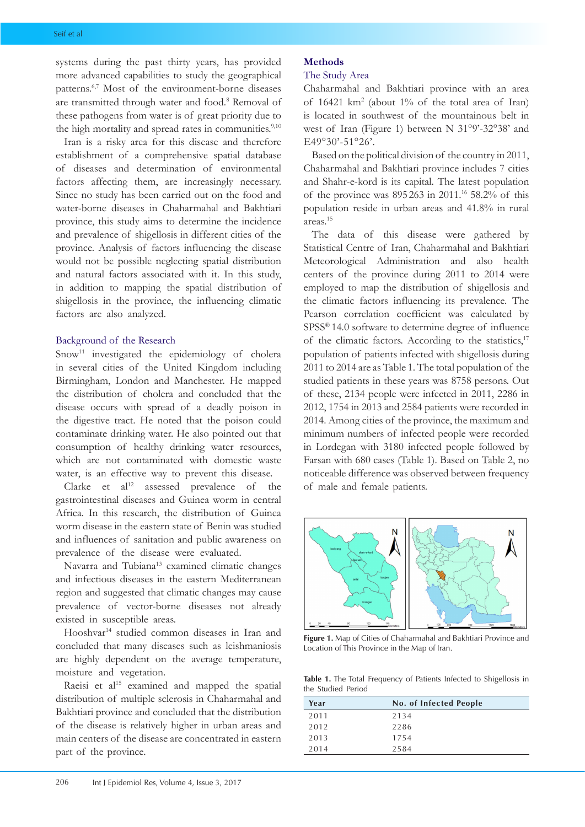systems during the past thirty years, has provided more advanced capabilities to study the geographical patterns.6,7 Most of the environment-borne diseases are transmitted through water and food.<sup>8</sup> Removal of these pathogens from water is of great priority due to the high mortality and spread rates in communities.<sup>9,10</sup>

Iran is a risky area for this disease and therefore establishment of a comprehensive spatial database of diseases and determination of environmental factors affecting them, are increasingly necessary. Since no study has been carried out on the food and water-borne diseases in Chaharmahal and Bakhtiari province, this study aims to determine the incidence and prevalence of shigellosis in different cities of the province. Analysis of factors influencing the disease would not be possible neglecting spatial distribution and natural factors associated with it. In this study, in addition to mapping the spatial distribution of shigellosis in the province, the influencing climatic factors are also analyzed.

#### Background of the Research

Snow<sup>11</sup> investigated the epidemiology of cholera in several cities of the United Kingdom including Birmingham, London and Manchester. He mapped the distribution of cholera and concluded that the disease occurs with spread of a deadly poison in the digestive tract. He noted that the poison could contaminate drinking water. He also pointed out that consumption of healthy drinking water resources, which are not contaminated with domestic waste water, is an effective way to prevent this disease.

Clarke et  $al^{12}$  assessed prevalence of the gastrointestinal diseases and Guinea worm in central Africa. In this research, the distribution of Guinea worm disease in the eastern state of Benin was studied and influences of sanitation and public awareness on prevalence of the disease were evaluated.

Navarra and Tubiana13 examined climatic changes and infectious diseases in the eastern Mediterranean region and suggested that climatic changes may cause prevalence of vector-borne diseases not already existed in susceptible areas.

Hooshvar<sup>14</sup> studied common diseases in Iran and concluded that many diseases such as leishmaniosis are highly dependent on the average temperature, moisture and vegetation.

Raeisi et  $al<sup>15</sup>$  examined and mapped the spatial distribution of multiple sclerosis in Chaharmahal and Bakhtiari province and concluded that the distribution of the disease is relatively higher in urban areas and main centers of the disease are concentrated in eastern part of the province.

## **Methods**

# The Study Area

Chaharmahal and Bakhtiari province with an area of 16421 km2 (about 1% of the total area of Iran) is located in southwest of the mountainous belt in west of Iran (Figure 1) between N 31°9'-32°38' and E49°30'-51°26'.

Based on the political division of the country in 2011, Chaharmahal and Bakhtiari province includes 7 cities and Shahr-e-kord is its capital. The latest population of the province was 895 263 in 2011.16 58.2% of this population reside in urban areas and 41.8% in rural areas.15

The data of this disease were gathered by Statistical Centre of Iran, Chaharmahal and Bakhtiari Meteorological Administration and also health centers of the province during 2011 to 2014 were employed to map the distribution of shigellosis and the climatic factors influencing its prevalence. The Pearson correlation coefficient was calculated by SPSS® 14.0 software to determine degree of influence of the climatic factors. According to the statistics,<sup>17</sup> population of patients infected with shigellosis during 2011 to 2014 are as Table 1. The total population of the studied patients in these years was 8758 persons. Out of these, 2134 people were infected in 2011, 2286 in 2012, 1754 in 2013 and 2584 patients were recorded in 2014. Among cities of the province, the maximum and minimum numbers of infected people were recorded in Lordegan with 3180 infected people followed by Farsan with 680 cases (Table 1). Based on Table 2, no noticeable difference was observed between frequency of male and female patients.



**Figure 1.** Map of Cities of Chaharmahal and Bakhtiari Province and Location of This Province in the Map of Iran.

**Table 1.** The Total Frequency of Patients Infected to Shigellosis in the Studied Period

| Year | No. of Infected People |  |
|------|------------------------|--|
| 2011 | 2134                   |  |
| 2012 | 2286                   |  |
| 2013 | 1754                   |  |
| 2014 | 2584                   |  |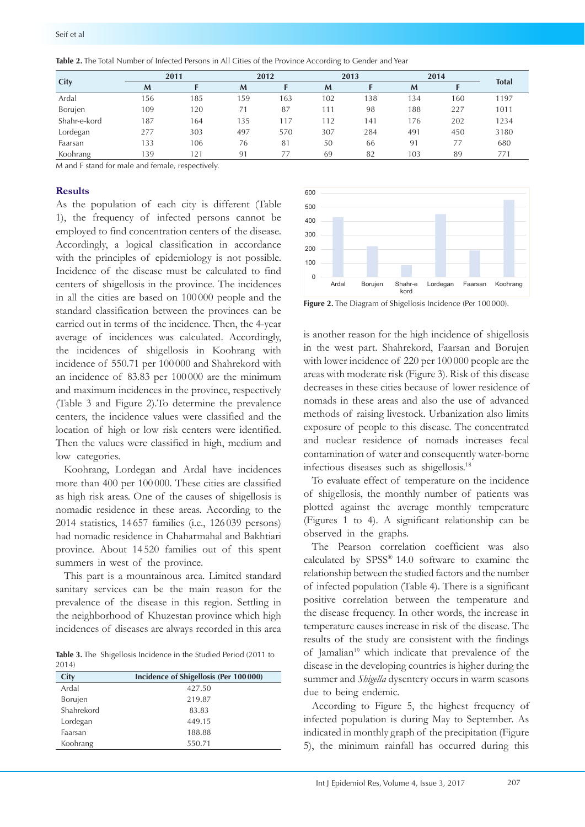| City         | 2011 |     | 2012 |     | 2013 |     | 2014 |     |              |
|--------------|------|-----|------|-----|------|-----|------|-----|--------------|
|              | M    |     | M    |     | M    |     | M    |     | <b>Total</b> |
| Ardal        | 156  | 185 | 159  | 163 | 102  | 138 | 134  | 160 | 1197         |
| Borujen      | 109  | 120 |      | 87  | 111  | 98  | 188  | 227 | 1011         |
| Shahr-e-kord | 187  | 164 | 135  | 17ء | 112  | 141 | 176  | 202 | 1234         |
| Lordegan     | 277  | 303 | 497  | 570 | 307  | 284 | 491  | 450 | 3180         |
| Faarsan      | 133  | 106 | 76   | 81  | 50   | 66  | 91   | 77  | 680          |
| Koohrang     | 139  | 21  | 91   | 77  | 69   | 82  | 103  | 89  | 77'          |

**Table 2.** The Total Number of Infected Persons in All Cities of the Province According to Gender and Year

M and F stand for male and female, respectively.

## **Results**

As the population of each city is different (Table 1), the frequency of infected persons cannot be employed to find concentration centers of the disease. Accordingly, a logical classification in accordance with the principles of epidemiology is not possible. Incidence of the disease must be calculated to find centers of shigellosis in the province. The incidences in all the cities are based on 100 000 people and the standard classification between the provinces can be carried out in terms of the incidence. Then, the 4-year average of incidences was calculated. Accordingly, the incidences of shigellosis in Koohrang with incidence of 550.71 per 100 000 and Shahrekord with an incidence of 83.83 per 100 000 are the minimum and maximum incidences in the province, respectively (Table 3 and Figure 2).To determine the prevalence centers, the incidence values were classified and the location of high or low risk centers were identified. Then the values were classified in high, medium and low categories.

Koohrang, Lordegan and Ardal have incidences more than 400 per 100 000. These cities are classified as high risk areas. One of the causes of shigellosis is nomadic residence in these areas. According to the 2014 statistics, 14 657 families (i.e., 126 039 persons) had nomadic residence in Chaharmahal and Bakhtiari province. About 14 520 families out of this spent summers in west of the province.

This part is a mountainous area. Limited standard sanitary services can be the main reason for the prevalence of the disease in this region. Settling in the neighborhood of Khuzestan province which high incidences of diseases are always recorded in this area

**Table 3.** The Shigellosis Incidence in the Studied Period (2011 to 2014)

| City       | Incidence of Shigellosis (Per 100 000) |
|------------|----------------------------------------|
| Ardal      | 427.50                                 |
| Borujen    | 219.87                                 |
| Shahrekord | 83.83                                  |
| Lordegan   | 449.15                                 |
| Faarsan    | 188.88                                 |
| Koohrang   | 550.71                                 |



Figure 2. The Diagram of Shigellosis Incidence (Per 100000).

is another reason for the high incidence of shigellosis in the west part. Shahrekord, Faarsan and Borujen with lower incidence of 220 per 100 000 people are the areas with moderate risk (Figure 3). Risk of this disease decreases in these cities because of lower residence of nomads in these areas and also the use of advanced methods of raising livestock. Urbanization also limits exposure of people to this disease. The concentrated and nuclear residence of nomads increases fecal contamination of water and consequently water-borne infectious diseases such as shigellosis.18

To evaluate effect of temperature on the incidence of shigellosis, the monthly number of patients was plotted against the average monthly temperature (Figures 1 to 4). A significant relationship can be observed in the graphs.

The Pearson correlation coefficient was also calculated by SPSS® 14.0 software to examine the relationship between the studied factors and the number of infected population (Table 4). There is a significant positive correlation between the temperature and the disease frequency. In other words, the increase in temperature causes increase in risk of the disease. The results of the study are consistent with the findings of Jamalian<sup>19</sup> which indicate that prevalence of the disease in the developing countries is higher during the summer and *Shigella* dysentery occurs in warm seasons due to being endemic.

According to Figure 5, the highest frequency of infected population is during May to September. As indicated in monthly graph of the precipitation (Figure 5), the minimum rainfall has occurred during this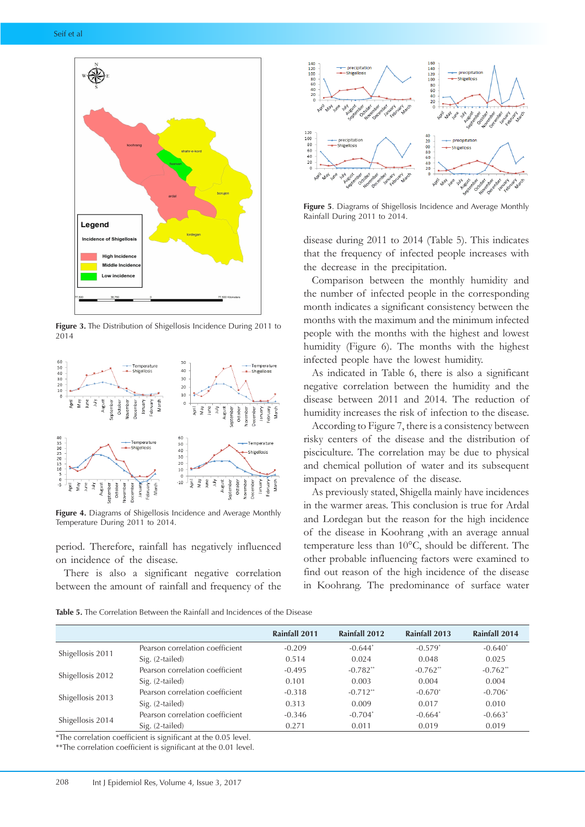

**Figure 3.** The Distribution of Shigellosis Incidence During 2011 to 2014



**Figure 4.** Diagrams of Shigellosis Incidence and Average Monthly Temperature During 2011 to 2014.

period. Therefore, rainfall has negatively influenced on incidence of the disease.

There is also a significant negative correlation between the amount of rainfall and frequency of the



**Figure 5**. Diagrams of Shigellosis Incidence and Average Monthly Rainfall During 2011 to 2014.

disease during 2011 to 2014 (Table 5). This indicates that the frequency of infected people increases with the decrease in the precipitation.

Comparison between the monthly humidity and the number of infected people in the corresponding month indicates a significant consistency between the months with the maximum and the minimum infected people with the months with the highest and lowest humidity (Figure 6). The months with the highest infected people have the lowest humidity.

As indicated in Table 6, there is also a significant negative correlation between the humidity and the disease between 2011 and 2014. The reduction of humidity increases the risk of infection to the disease.

According to Figure 7, there is a consistency between risky centers of the disease and the distribution of pisciculture. The correlation may be due to physical and chemical pollution of water and its subsequent impact on prevalence of the disease.

As previously stated, Shigella mainly have incidences in the warmer areas. This conclusion is true for Ardal and Lordegan but the reason for the high incidence of the disease in Koohrang ,with an average annual temperature less than 10°C, should be different. The other probable influencing factors were examined to find out reason of the high incidence of the disease in Koohrang. The predominance of surface water

**Table 5.** The Correlation Between the Rainfall and Incidences of the Disease

|                  |                                 | Rainfall 2011 | Rainfall 2012 | Rainfall 2013 | Rainfall 2014 |
|------------------|---------------------------------|---------------|---------------|---------------|---------------|
| Shigellosis 2011 | Pearson correlation coefficient | $-0.209$      | $-0.644*$     | $-0.579*$     | $-0.640*$     |
|                  | Sig. (2-tailed)                 | 0.514         | 0.024         | 0.048         | 0.025         |
| Shigellosis 2012 | Pearson correlation coefficient | $-0.495$      | $-0.782**$    | $-0.762**$    | $-0.762**$    |
|                  | Sig. (2-tailed)                 | 0.101         | 0.003         | 0.004         | 0.004         |
| Shigellosis 2013 | Pearson correlation coefficient | $-0.318$      | $-0.712**$    | $-0.670*$     | $-0.706*$     |
|                  | Sig. (2-tailed)                 | 0.313         | 0.009         | 0.017         | 0.010         |
| Shigellosis 2014 | Pearson correlation coefficient | $-0.346$      | $-0.704*$     | $-0.664*$     | $-0.663*$     |
|                  | Sig. (2-tailed)                 | 0.271         | 0.011         | 0.019         | 0.019         |

\*The correlation coefficient is significant at the 0.05 level.

\*\*The correlation coefficient is significant at the 0.01 level.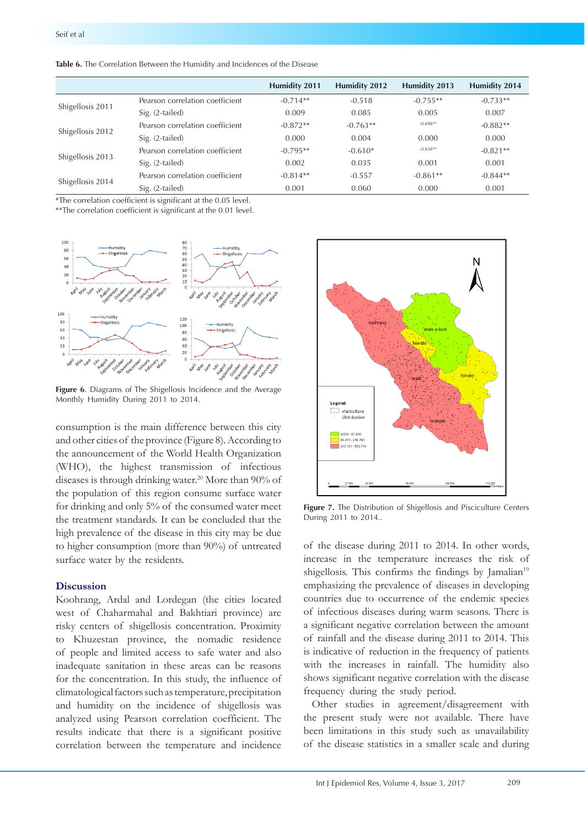|                  |                                 | <b>Humidity 2011</b> | <b>Humidity 2012</b> | Humidity 2013 | Humidity 2014 |
|------------------|---------------------------------|----------------------|----------------------|---------------|---------------|
| Shigellosis 2011 | Pearson correlation coefficient | $-0.714**$           | $-0.518$             | $-0.755**$    | $-0.733**$    |
|                  | Sig. (2-tailed)                 | 0.009                | 0.085                | 0.005         | 0.007         |
| Shigellosis 2012 | Pearson correlation coefficient | $-0.872**$           | $-0.763**$           | $-0.898**$    | $-0.882**$    |
|                  | Sig. (2-tailed)                 | 0.000                | 0.004                | 0.000         | 0.000         |
| Shigellosis 2013 | Pearson correlation coefficient | $-0.795**$           | $-0.610*$            | $-0.838**$    | $-0.821**$    |
|                  | Sig. (2-tailed)                 | 0.002                | 0.035                | 0.001         | 0.001         |
| Shigellosis 2014 | Pearson correlation coefficient | $-0.814**$           | $-0.557$             | $-0.861**$    | $-0.844**$    |
|                  | Sig. (2-tailed)                 | 0.001                | 0.060                | 0.000         | 0.001         |

**Table 6.** The Correlation Between the Humidity and Incidences of the Disease

\*The correlation coefficient is significant at the 0.05 level.

\*\*The correlation coefficient is significant at the 0.01 level.



**Figure 6**. Diagrams of The Shigellosis Incidence and the Average Monthly Humidity During 2011 to 2014.

consumption is the main difference between this city and other cities of the province (Figure 8). According to the announcement of the World Health Organization (WHO), the highest transmission of infectious diseases is through drinking water.<sup>20</sup> More than 90% of the population of this region consume surface water for drinking and only 5% of the consumed water meet the treatment standards. It can be concluded that the high prevalence of the disease in this city may be due to higher consumption (more than 90%) of untreated surface water by the residents.

## **Discussion**

Koohrang, Ardal and Lordegan (the cities located west of Chaharmahal and Bakhtiari province) are risky centers of shigellosis concentration. Proximity to Khuzestan province, the nomadic residence of people and limited access to safe water and also inadequate sanitation in these areas can be reasons for the concentration. In this study, the influence of climatological factors such as temperature, precipitation and humidity on the incidence of shigellosis was analyzed using Pearson correlation coefficient. The results indicate that there is a significant positive correlation between the temperature and incidence



**Figure 7.** The Distribution of Shigellosis and Pisciculture Centers During 2011 to 2014..

of the disease during 2011 to 2014. In other words, increase in the temperature increases the risk of shigellosis. This confirms the findings by Jamalian<sup>19</sup> emphasizing the prevalence of diseases in developing countries due to occurrence of the endemic species of infectious diseases during warm seasons. There is a significant negative correlation between the amount of rainfall and the disease during 2011 to 2014. This is indicative of reduction in the frequency of patients with the increases in rainfall. The humidity also shows significant negative correlation with the disease frequency during the study period.

Other studies in agreement/disagreement with the present study were not available. There have been limitations in this study such as unavailability of the disease statistics in a smaller scale and during